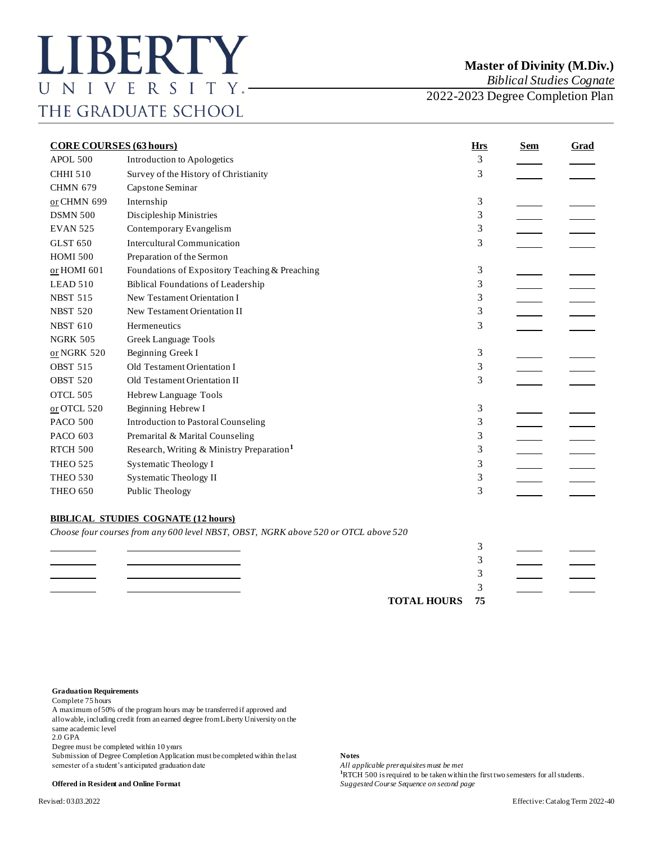*Biblical Studies Cognate*

2022-2023 Degree Completion Plan

| <b>CORE COURSES (63 hours)</b> |                                                                                     | <b>Hrs</b> | <b>Sem</b> | Grad |
|--------------------------------|-------------------------------------------------------------------------------------|------------|------------|------|
| APOL 500                       | Introduction to Apologetics                                                         | 3          |            |      |
| <b>CHHI 510</b>                | Survey of the History of Christianity                                               | 3          |            |      |
| <b>CHMN 679</b>                | Capstone Seminar                                                                    |            |            |      |
| or CHMN 699                    | Internship                                                                          | 3          |            |      |
| <b>DSMN 500</b>                | Discipleship Ministries                                                             | 3          |            |      |
| <b>EVAN 525</b>                | Contemporary Evangelism                                                             | 3          |            |      |
| <b>GLST 650</b>                | <b>Intercultural Communication</b>                                                  | 3          |            |      |
| <b>HOMI 500</b>                | Preparation of the Sermon                                                           |            |            |      |
| or HOMI 601                    | Foundations of Expository Teaching & Preaching                                      | 3          |            |      |
| LEAD 510                       | <b>Biblical Foundations of Leadership</b>                                           | 3          |            |      |
| <b>NBST 515</b>                | New Testament Orientation I                                                         | 3          |            |      |
| <b>NBST 520</b>                | New Testament Orientation II                                                        | 3          |            |      |
| <b>NBST 610</b>                | Hermeneutics                                                                        | 3          |            |      |
| <b>NGRK 505</b>                | Greek Language Tools                                                                |            |            |      |
| or NGRK 520                    | Beginning Greek I                                                                   | 3          |            |      |
| <b>OBST 515</b>                | Old Testament Orientation I                                                         | 3          |            |      |
| <b>OBST 520</b>                | Old Testament Orientation II                                                        | 3          |            |      |
| OTCL 505                       | Hebrew Language Tools                                                               |            |            |      |
| $or$ OTCL 520                  | Beginning Hebrew I                                                                  | 3          |            |      |
| <b>PACO 500</b>                | <b>Introduction to Pastoral Counseling</b>                                          | 3          |            |      |
| PACO 603                       | Premarital & Marital Counseling                                                     | 3          |            |      |
| <b>RTCH 500</b>                | Research, Writing & Ministry Preparation <sup>1</sup>                               | 3          |            |      |
| <b>THEO 525</b>                | Systematic Theology I                                                               | 3          |            |      |
| <b>THEO 530</b>                | <b>Systematic Theology II</b>                                                       | 3          |            |      |
| <b>THEO 650</b>                | Public Theology                                                                     | 3          |            |      |
|                                | <b>BIBLICAL STUDIES COGNATE (12 hours)</b>                                          |            |            |      |
|                                | Choose four courses from any 600 level NBST, OBST, NGRK above 520 or OTCL above 520 |            |            |      |
|                                |                                                                                     | 3          |            |      |
|                                |                                                                                     | 3          |            |      |
|                                |                                                                                     | 3          |            |      |
|                                |                                                                                     | 3          |            |      |
|                                | <b>TOTAL HOURS</b>                                                                  | 75         |            |      |

## **Graduation Requirements**

Complete 75 hours

A maximum of 50% of the program hours may be transferred if approved and allowable, including credit from an earned degree from Liberty University on the same academic level

2.0 GPA

Degree must be completed within 10 years

Submission of Degree Completion Application must be completed within the last **Notes**<br>semester of a student's anticipated graduation date *All applicable prerequisites must be met* semester of a student's anticipated graduation date

**<sup>1</sup>**RTCH 500 is required to be taken within the first two semesters for all students.